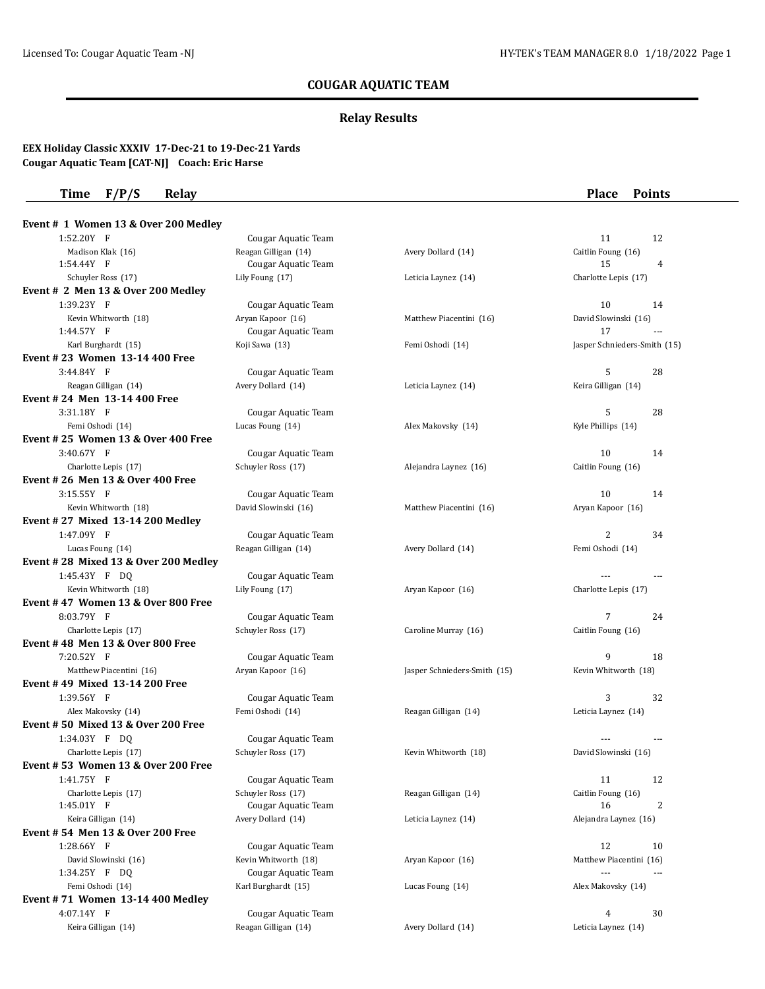## **COUGAR AQUATIC TEAM**

# **Relay Results**

### **EEX Holiday Classic XXXIV 17-Dec-21 to 19-Dec-21 Yards Cougar Aquatic Team [CAT-NJ] Coach: Eric Harse**

### **Time F/P/S Relay Place Points**

| Event $# 1$ Women 13 & Over 200 Medley        |                      |                              |                              |
|-----------------------------------------------|----------------------|------------------------------|------------------------------|
| 1:52.20Y F                                    | Cougar Aquatic Team  |                              | 11<br>12                     |
| Madison Klak (16)                             | Reagan Gilligan (14) | Avery Dollard (14)           | Caitlin Foung (16)           |
| 1:54.44Y F                                    | Cougar Aquatic Team  |                              | 15<br>$\overline{4}$         |
| Schuyler Ross (17)                            | Lily Foung (17)      | Leticia Laynez (14)          | Charlotte Lepis (17)         |
| Event # 2 Men 13 & Over 200 Medley            |                      |                              |                              |
| 1:39.23Y F                                    | Cougar Aquatic Team  |                              | 10<br>14                     |
| Kevin Whitworth (18)                          | Aryan Kapoor (16)    | Matthew Piacentini (16)      | David Slowinski (16)         |
| 1:44.57Y F                                    | Cougar Aquatic Team  |                              | 17                           |
| Karl Burghardt (15)                           | Koji Sawa (13)       | Femi Oshodi (14)             | Jasper Schnieders-Smith (15) |
| Event #23 Women 13-14 400 Free                |                      |                              |                              |
| 3:44.84Y F                                    | Cougar Aquatic Team  |                              | 5<br>28                      |
| Reagan Gilligan (14)                          | Avery Dollard (14)   | Leticia Laynez (14)          | Keira Gilligan (14)          |
| Event # 24 Men 13-14 400 Free                 |                      |                              |                              |
| 3:31.18Y F                                    | Cougar Aquatic Team  |                              | 5<br>28                      |
| Femi Oshodi (14)                              | Lucas Foung (14)     | Alex Makovsky (14)           | Kyle Phillips (14)           |
| <b>Event #25 Women 13 &amp; Over 400 Free</b> |                      |                              |                              |
| 3:40.67Y F                                    | Cougar Aquatic Team  |                              | 10<br>14                     |
| Charlotte Lepis (17)                          | Schuyler Ross (17)   | Alejandra Laynez (16)        | Caitlin Foung (16)           |
| Event # 26 Men 13 & Over 400 Free             |                      |                              |                              |
| $3:15.55Y$ F                                  | Cougar Aquatic Team  |                              | 10<br>14                     |
| Kevin Whitworth (18)                          | David Slowinski (16) | Matthew Piacentini (16)      | Aryan Kapoor (16)            |
| Event #27 Mixed 13-14 200 Medley              |                      |                              |                              |
| 1:47.09Y F                                    | Cougar Aquatic Team  |                              | $\overline{2}$<br>34         |
| Lucas Foung (14)                              | Reagan Gilligan (14) | Avery Dollard (14)           | Femi Oshodi (14)             |
| Event #28 Mixed 13 & Over 200 Medley          |                      |                              |                              |
| 1:45.43Y F DQ                                 | Cougar Aquatic Team  |                              |                              |
| Kevin Whitworth (18)                          | Lily Foung (17)      | Aryan Kapoor (16)            | Charlotte Lepis (17)         |
| Event #47 Women 13 & Over 800 Free            |                      |                              |                              |
| 8:03.79Y F                                    | Cougar Aquatic Team  |                              | 7<br>24                      |
| Charlotte Lepis (17)                          | Schuyler Ross (17)   | Caroline Murray (16)         | Caitlin Foung (16)           |
| Event #48 Men 13 & Over 800 Free              |                      |                              |                              |
| 7:20.52Y F                                    | Cougar Aquatic Team  |                              | 9<br>18                      |
| Matthew Piacentini (16)                       | Aryan Kapoor (16)    | Jasper Schnieders-Smith (15) | Kevin Whitworth (18)         |
| Event #49 Mixed 13-14 200 Free                |                      |                              |                              |
| 1:39.56Y F                                    | Cougar Aquatic Team  |                              | 3<br>32                      |
| Alex Makovsky (14)                            | Femi Oshodi (14)     | Reagan Gilligan (14)         | Leticia Laynez (14)          |
| <b>Event #50 Mixed 13 &amp; Over 200 Free</b> |                      |                              |                              |
| 1:34.03Y F DQ                                 | Cougar Aquatic Team  |                              |                              |
| Charlotte Lepis (17)                          | Schuyler Ross (17)   | Kevin Whitworth (18)         | David Slowinski (16)         |
| <b>Event #53 Women 13 &amp; Over 200 Free</b> |                      |                              |                              |
| 1:41.75Y F                                    | Cougar Aquatic Team  |                              | 11<br>12                     |
| Charlotte Lepis (17)                          | Schuyler Ross (17)   | Reagan Gilligan (14)         | Caitlin Foung (16)           |
| 1:45.01Y F                                    | Cougar Aquatic Team  |                              | $\overline{2}$<br>16         |
| Keira Gilligan (14)                           | Avery Dollard (14)   | Leticia Laynez (14)          | Alejandra Laynez (16)        |
| Event #54 Men 13 & Over 200 Free              |                      |                              |                              |
| 1:28.66Y F                                    | Cougar Aquatic Team  |                              | 12<br>10                     |
| David Slowinski (16)                          | Kevin Whitworth (18) | Aryan Kapoor (16)            | Matthew Piacentini (16)      |
| 1:34.25Y F DQ                                 | Cougar Aquatic Team  |                              | $\overline{a}$               |
| Femi Oshodi (14)                              | Karl Burghardt (15)  | Lucas Foung (14)             | Alex Makovsky (14)           |
| Event #71 Women 13-14 400 Medlev              |                      |                              |                              |
| 4:07.14Y F                                    | Cougar Aquatic Team  |                              | 4<br>30                      |
| Keira Gilligan (14)                           | Reagan Gilligan (14) | Avery Dollard (14)           | Leticia Laynez (14)          |